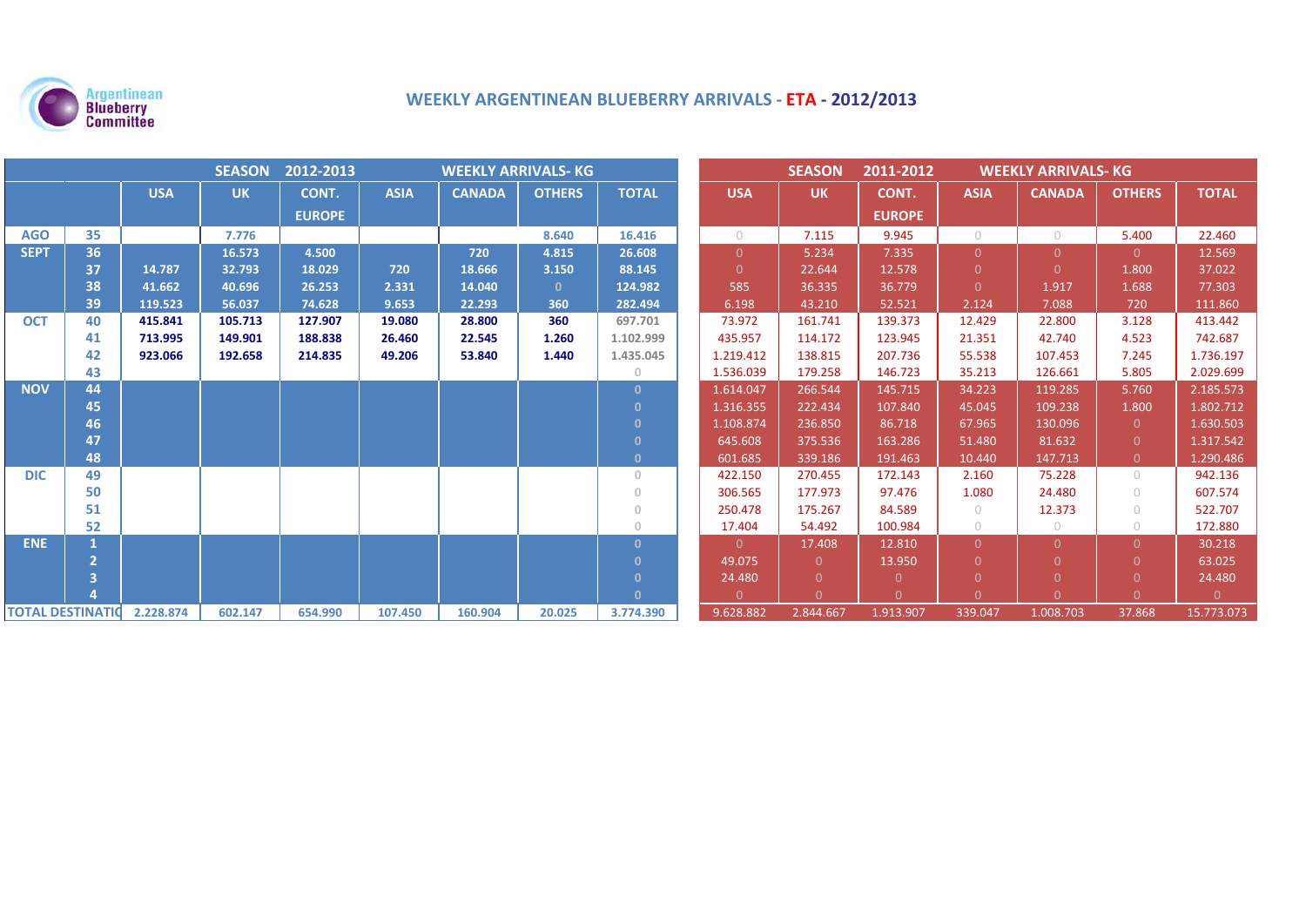

# **WEEKLY ARGENTINEAN BLUEBERRY ARRIVALS ‐ ETA ‐ 2012/2013**

| SEASON 2012-2013<br><b>WEEKLY ARRIVALS-KG</b> |    |            |           |               |             |               |               |                                       | <b>SEASON</b>  | 2011-2012      | <b>WEEKLY ARRIVALS- KG</b> |                |               |                |              |
|-----------------------------------------------|----|------------|-----------|---------------|-------------|---------------|---------------|---------------------------------------|----------------|----------------|----------------------------|----------------|---------------|----------------|--------------|
|                                               |    | <b>USA</b> | <b>UK</b> | CONT.         | <b>ASIA</b> | <b>CANADA</b> | <b>OTHERS</b> | <b>TOTAL</b>                          | <b>USA</b>     | <b>UK</b>      | CONT.                      | <b>ASIA</b>    | <b>CANADA</b> | <b>OTHERS</b>  | <b>TOTAL</b> |
|                                               |    |            |           | <b>EUROPE</b> |             |               |               |                                       |                |                | <b>EUROPE</b>              |                |               |                |              |
| <b>AGO</b>                                    | 35 |            | 7.776     |               |             |               | 8.640         | 16.416                                | $\bigcirc$     | 7.115          | 9.945                      | $\bigcirc$     | $\circ$       | 5.400          | 22.460       |
| <b>SEPT</b>                                   | 36 |            | 16.573    | 4.500         |             | 720           | 4.815         | 26.608                                | $\Omega$       | 5.234          | 7.335                      | $\overline{0}$ | $\Omega$      | $\Omega$       | 12.569       |
|                                               | 37 | 14.787     | 32.793    | 18.029        | 720         | 18.666        | 3.150         | 88.145                                | $\Omega$       | 22.644         | 12.578                     | $\Omega$       | $\Omega$      | 1.800          | 37.022       |
|                                               | 38 | 41.662     | 40.696    | 26.253        | 2.331       | 14.040        | $\mathbf{0}$  | 124.982                               | 585            | 36.335         | 36.779                     | $\overline{0}$ | 1.917         | 1.688          | 77.303       |
|                                               | 39 | 119.523    | 56.037    | 74.628        | 9.653       | 22.293        | 360           | 282.494                               | 6.198          | 43.210         | 52.521                     | 2.124          | 7.088         | 720            | 111.860      |
| <b>OCT</b>                                    | 40 | 415.841    | 105.713   | 127.907       | 19.080      | 28.800        | 360           | 697.701                               | 73.972         | 161.741        | 139.373                    | 12.429         | 22.800        | 3.128          | 413.442      |
|                                               | 41 | 713.995    | 149.901   | 188.838       | 26.460      | 22.545        | 1.260         | 1.102.999                             | 435.957        | 114.172        | 123.945                    | 21.351         | 42.740        | 4.523          | 742.687      |
|                                               | 42 | 923.066    | 192.658   | 214.835       | 49.206      | 53.840        | 1.440         | 1.435.045                             | 1.219.412      | 138.815        | 207.736                    | 55.538         | 107.453       | 7.245          | 1.736.197    |
|                                               | 43 |            |           |               |             |               |               | $\circ$                               | 1.536.039      | 179.258        | 146.723                    | 35.213         | 126.661       | 5.805          | 2.029.699    |
| <b>NOV</b>                                    | 44 |            |           |               |             |               |               | $\mathbf{0}$                          | 1.614.047      | 266.544        | 145.715                    | 34.223         | 119.285       | 5.760          | 2.185.573    |
|                                               | 45 |            |           |               |             |               |               | $\Omega$                              | 1.316.355      | 222.434        | 107.840                    | 45.045         | 109.238       | 1.800          | 1.802.712    |
|                                               | 46 |            |           |               |             |               |               | $\Omega$                              | 1.108.874      | 236.850        | 86.718                     | 67.965         | 130.096       | $\overline{0}$ | 1.630.503    |
|                                               | 47 |            |           |               |             |               |               | $\Omega$                              | 645.608        | 375.536        | 163.286                    | 51.480         | 81.632        | $\Omega$       | 1.317.542    |
|                                               | 48 |            |           |               |             |               |               | $\mathbf{0}$                          | 601.685        | 339.186        | 191.463                    | 10.440         | 147.713       | $\overline{0}$ | 1.290.486    |
| <b>DIC</b>                                    | 49 |            |           |               |             |               |               | $\mathbf{0}$                          | 422.150        | 270.455        | 172.143                    | 2.160          | 75.228        | $\bigcirc$     | 942.136      |
|                                               | 50 |            |           |               |             |               |               | $\overline{0}$                        | 306.565        | 177.973        | 97.476                     | 1.080          | 24.480        | $\bigcirc$     | 607.574      |
|                                               | 51 |            |           |               |             |               |               | $\overline{0}$                        | 250.478        | 175.267        | 84.589                     | $\bigcirc$     | 12.373        | $\bigcirc$     | 522.707      |
|                                               | 52 |            |           |               |             |               |               | $\begin{array}{c} 0 \\ 0 \end{array}$ | 17.404         | 54.492         | 100.984                    | $\bigcirc$     | $\circ$       | $\bigcirc$     | 172.880      |
| <b>ENE</b>                                    |    |            |           |               |             |               |               | $\mathbf{0}$                          | $\overline{0}$ | 17.408         | 12.810                     | $\Omega$       | $\Omega$      | $\Omega$       | 30.218       |
|                                               |    |            |           |               |             |               |               | $\Omega$                              | 49.075         | $\Omega$       | 13.950                     | $\Omega$       | U             | $\Omega$       | 63.025       |
|                                               |    |            |           |               |             |               |               | $\Omega$                              | 24.480         | $\overline{0}$ | $\Omega$                   | $\Omega$       | $\Omega$      |                | 24.480       |
|                                               |    |            |           |               |             |               |               | $\Omega$                              | $\Omega$       | $\Omega$       | n.                         | $\Omega$       | $\Omega$      | $\Omega$       | $\Omega$     |
| <b>TOTAL DESTINATION</b>                      |    | 2.228.874  | 602.147   | 654.990       | 107.450     | 160.904       | 20.025        | 3.774.390                             | 9.628.882      | 2.844.667      | 1.913.907                  | 339.047        | 1.008.703     | 37.868         | 15.773.073   |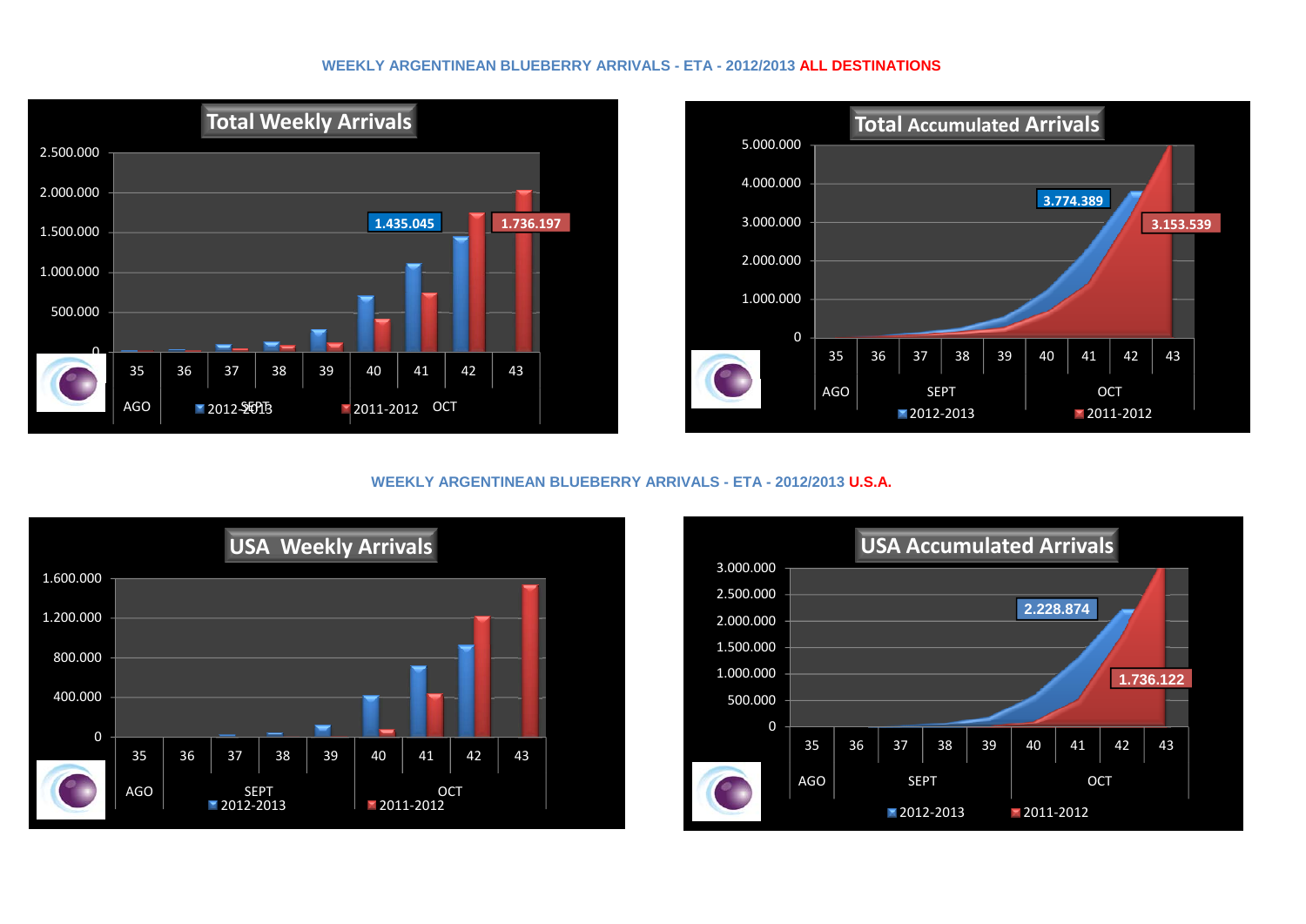### **WEEKLY ARGENTINEAN BLUEBERRY ARRIVALS - ETA - 2012/2013 ALL DESTINATIONS**





**WEEKLY ARGENTINEAN BLUEBERRY ARRIVALS - ETA - 2012/2013 U.S.A.**



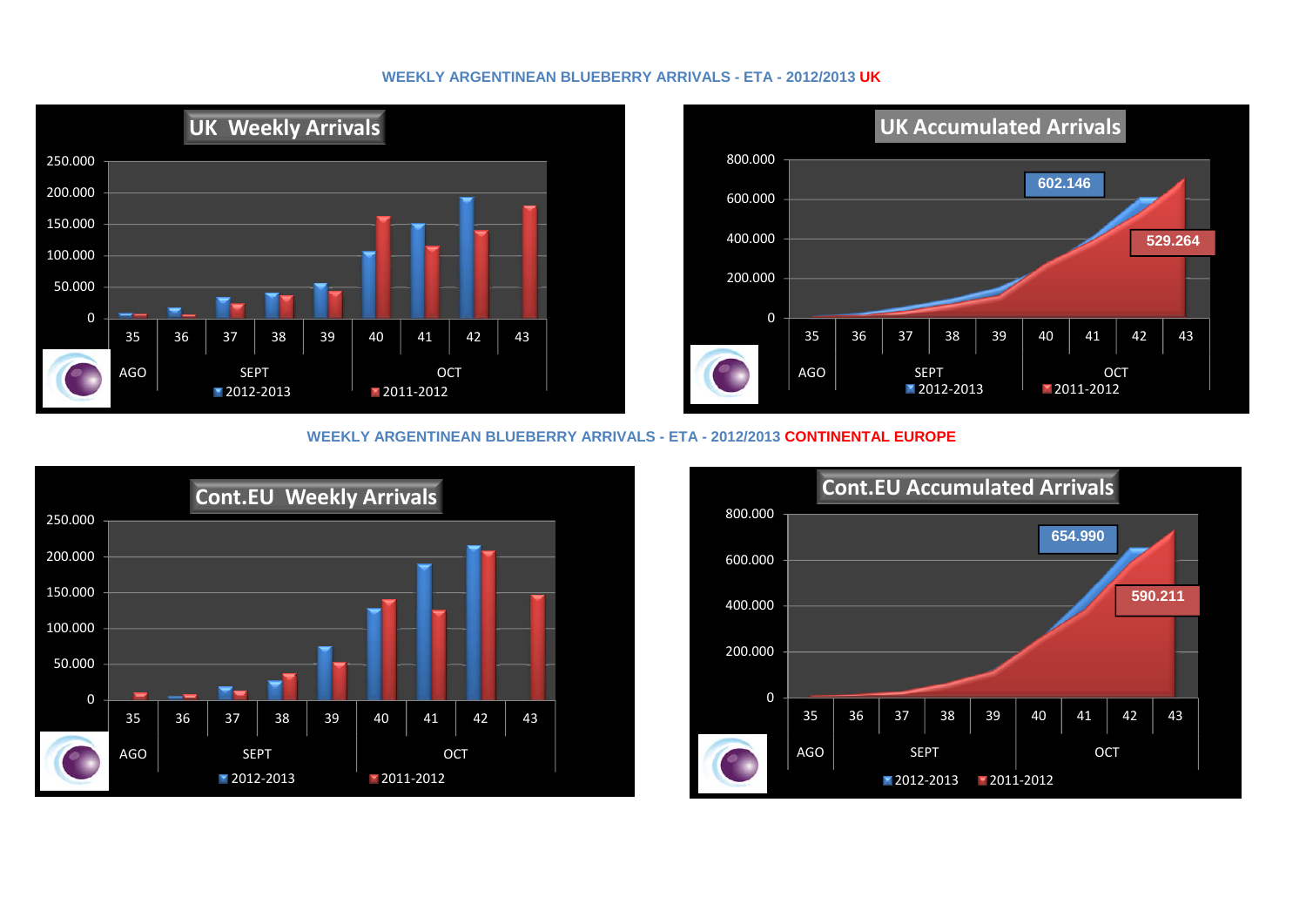## **WEEKLY ARGENTINEAN BLUEBERRY ARRIVALS - ETA - 2012/2013 UK**





### **WEEKLY ARGENTINEAN BLUEBERRY ARRIVALS - ETA - 2012/2013 CONTINENTAL EUROPE**